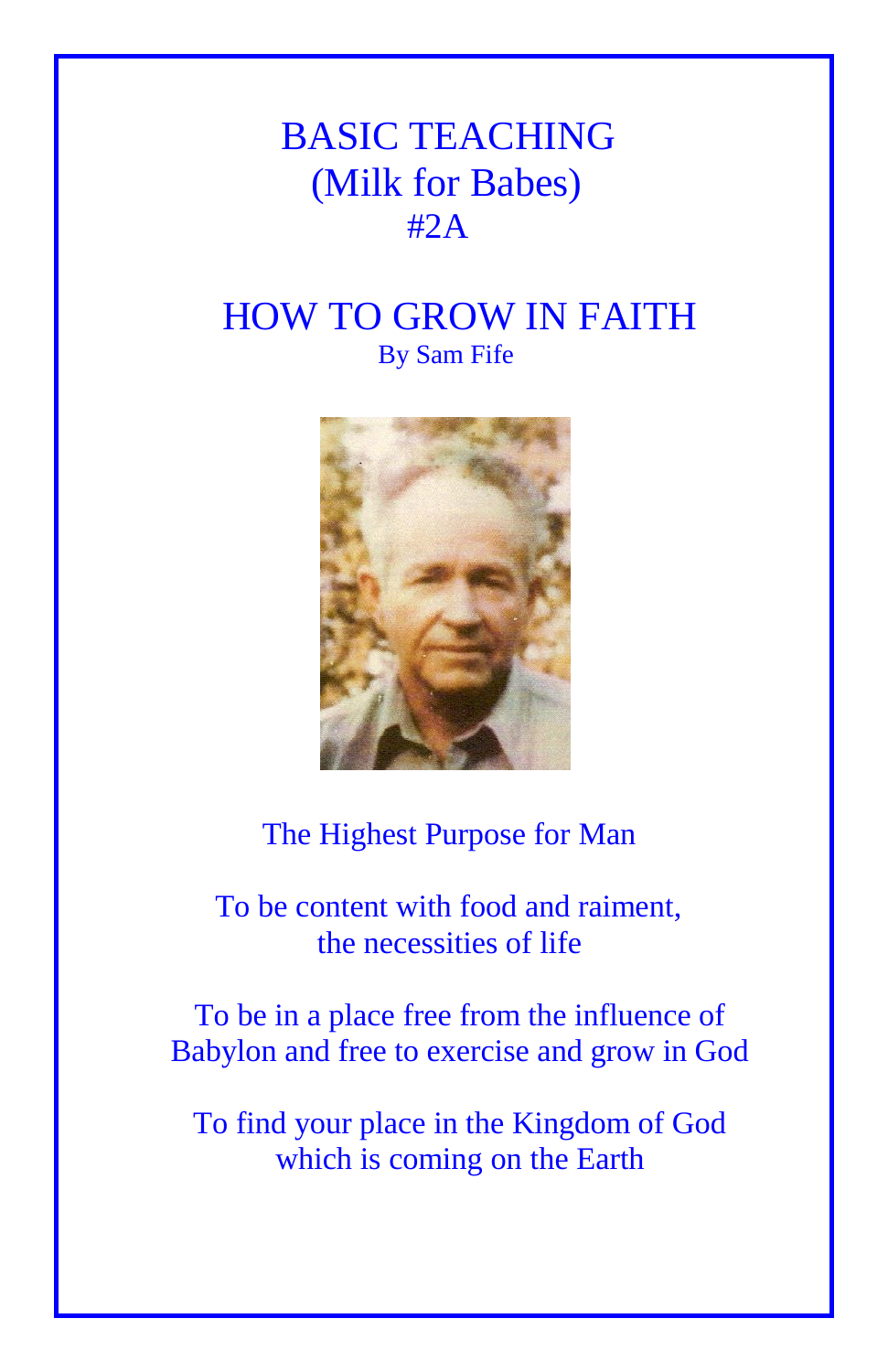# BASIC TEACHING (Milk for Babes) #2A

## HOW TO GROW IN FAITH By Sam Fife



## The Highest Purpose for Man

 To be content with food and raiment, the necessities of life

To be in a place free from the influence of Babylon and free to exercise and grow in God

To find your place in the Kingdom of God which is coming on the Earth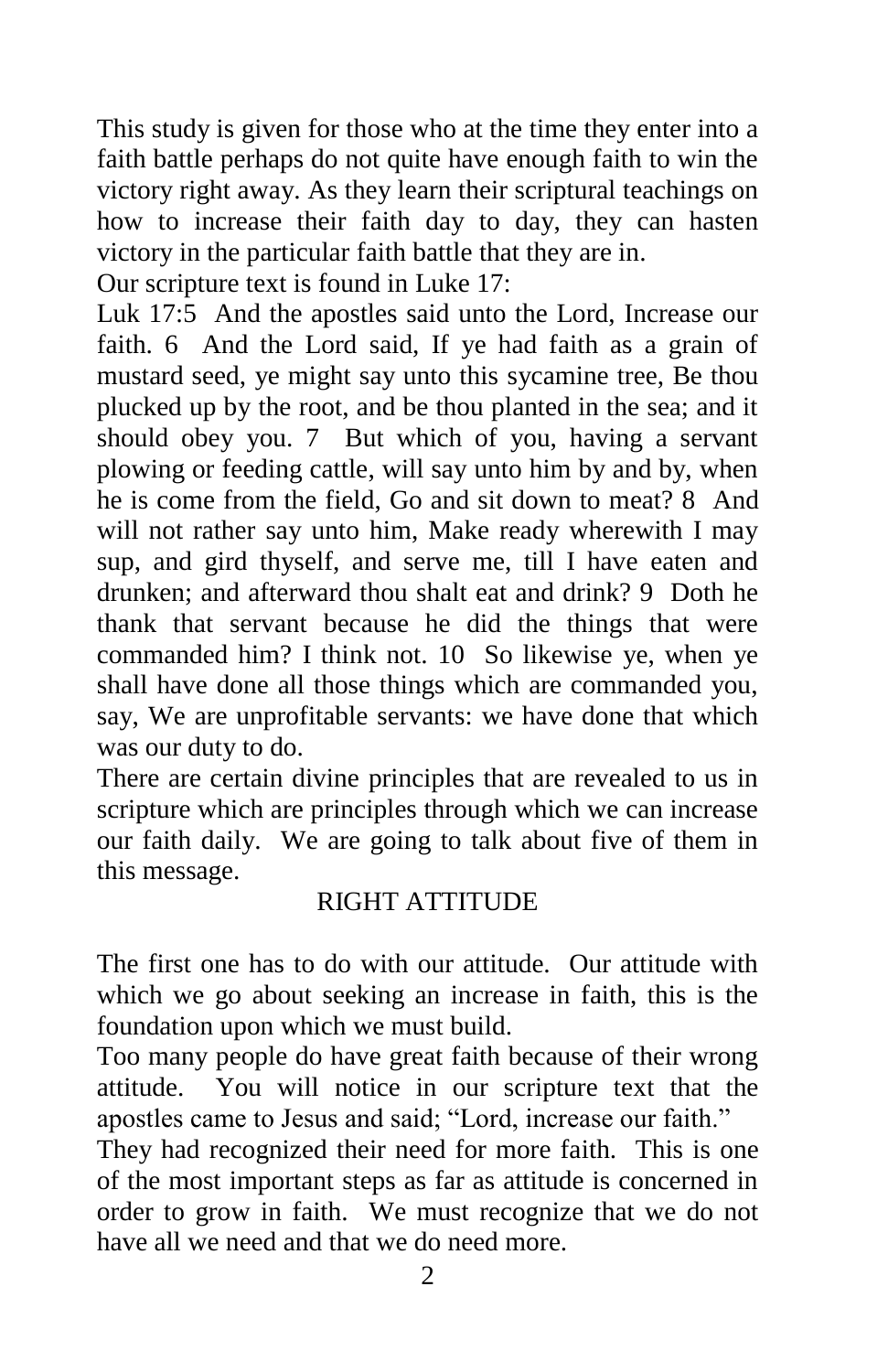This study is given for those who at the time they enter into a faith battle perhaps do not quite have enough faith to win the victory right away. As they learn their scriptural teachings on how to increase their faith day to day, they can hasten victory in the particular faith battle that they are in.

Our scripture text is found in Luke 17:

Luk 17:5 And the apostles said unto the Lord, Increase our faith. 6 And the Lord said, If ye had faith as a grain of mustard seed, ye might say unto this sycamine tree, Be thou plucked up by the root, and be thou planted in the sea; and it should obey you. 7 But which of you, having a servant plowing or feeding cattle, will say unto him by and by, when he is come from the field, Go and sit down to meat? 8 And will not rather say unto him, Make ready wherewith I may sup, and gird thyself, and serve me, till I have eaten and drunken; and afterward thou shalt eat and drink? 9 Doth he thank that servant because he did the things that were commanded him? I think not. 10 So likewise ye, when ye shall have done all those things which are commanded you, say, We are unprofitable servants: we have done that which was our duty to do.

There are certain divine principles that are revealed to us in scripture which are principles through which we can increase our faith daily. We are going to talk about five of them in this message.

## RIGHT ATTITUDE

The first one has to do with our attitude. Our attitude with which we go about seeking an increase in faith, this is the foundation upon which we must build.

Too many people do have great faith because of their wrong attitude. You will notice in our scripture text that the apostles came to Jesus and said; "Lord, increase our faith."

They had recognized their need for more faith. This is one of the most important steps as far as attitude is concerned in order to grow in faith. We must recognize that we do not have all we need and that we do need more.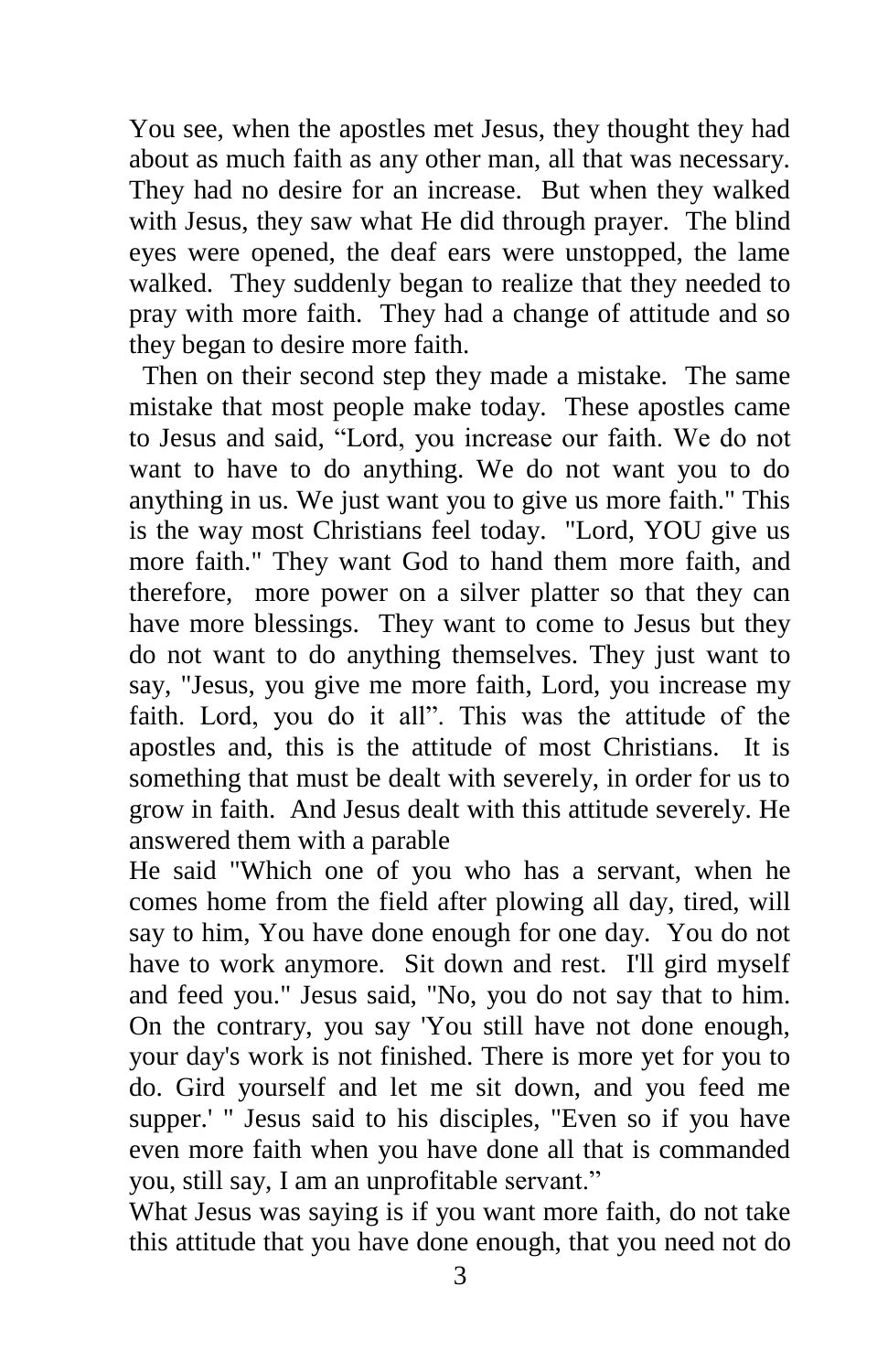You see, when the apostles met Jesus, they thought they had about as much faith as any other man, all that was necessary. They had no desire for an increase. But when they walked with Jesus, they saw what He did through prayer. The blind eyes were opened, the deaf ears were unstopped, the lame walked. They suddenly began to realize that they needed to pray with more faith. They had a change of attitude and so they began to desire more faith.

 Then on their second step they made a mistake. The same mistake that most people make today. These apostles came to Jesus and said, "Lord, you increase our faith. We do not want to have to do anything. We do not want you to do anything in us. We just want you to give us more faith." This is the way most Christians feel today. "Lord, YOU give us more faith." They want God to hand them more faith, and therefore, more power on a silver platter so that they can have more blessings. They want to come to Jesus but they do not want to do anything themselves. They just want to say, "Jesus, you give me more faith, Lord, you increase my faith. Lord, you do it all". This was the attitude of the apostles and, this is the attitude of most Christians. It is something that must be dealt with severely, in order for us to grow in faith. And Jesus dealt with this attitude severely. He answered them with a parable

He said "Which one of you who has a servant, when he comes home from the field after plowing all day, tired, will say to him, You have done enough for one day. You do not have to work anymore. Sit down and rest. I'll gird myself and feed you." Jesus said, "No, you do not say that to him. On the contrary, you say 'You still have not done enough, your day's work is not finished. There is more yet for you to do. Gird yourself and let me sit down, and you feed me supper.' " Jesus said to his disciples, "Even so if you have even more faith when you have done all that is commanded you, still say, I am an unprofitable servant."

What Jesus was saying is if you want more faith, do not take this attitude that you have done enough, that you need not do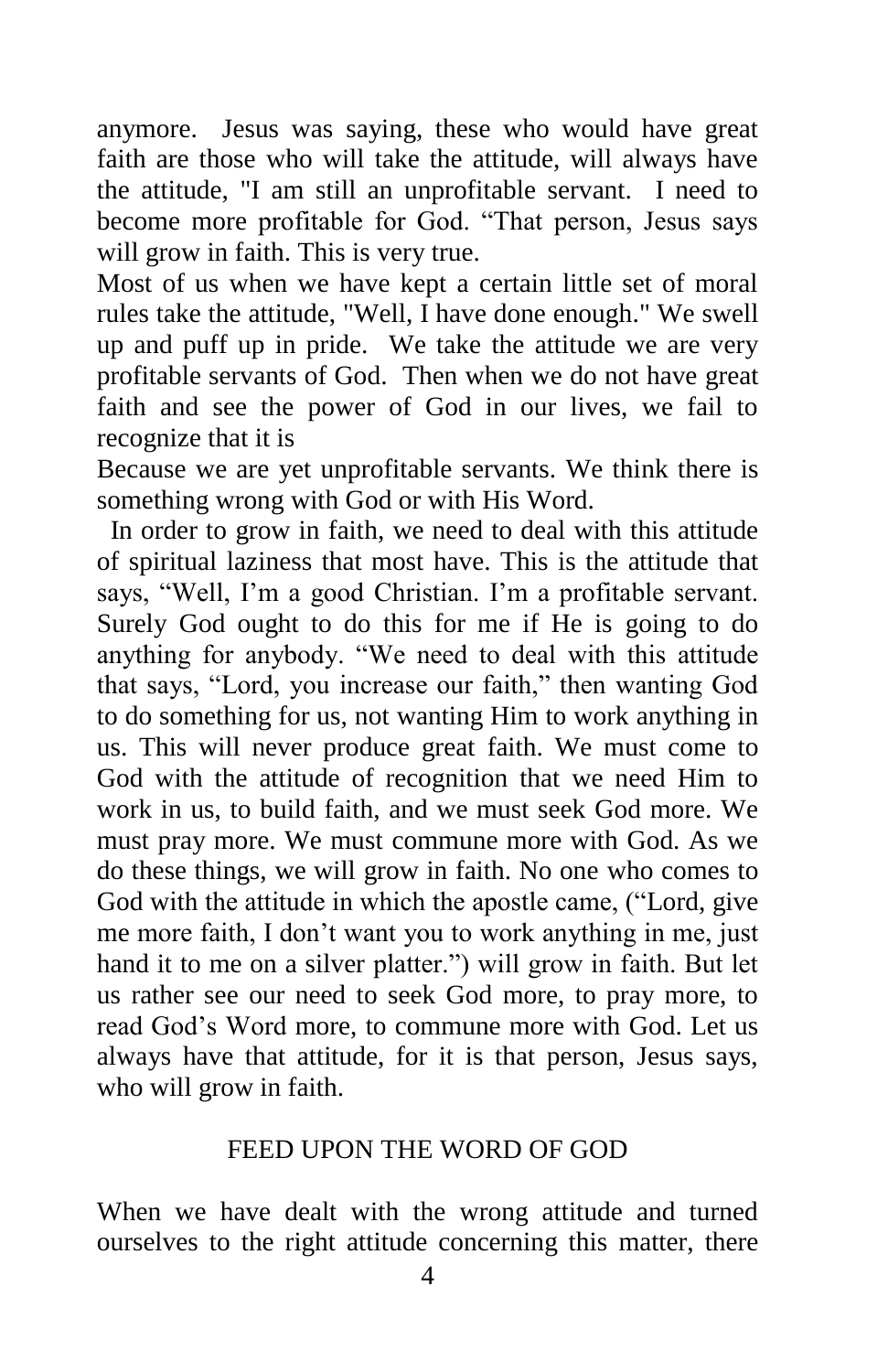anymore. Jesus was saying, these who would have great faith are those who will take the attitude, will always have the attitude, "I am still an unprofitable servant. I need to become more profitable for God. "That person, Jesus says will grow in faith. This is very true.

Most of us when we have kept a certain little set of moral rules take the attitude, "Well, I have done enough." We swell up and puff up in pride. We take the attitude we are very profitable servants of God. Then when we do not have great faith and see the power of God in our lives, we fail to recognize that it is

Because we are yet unprofitable servants. We think there is something wrong with God or with His Word.

 In order to grow in faith, we need to deal with this attitude of spiritual laziness that most have. This is the attitude that says, "Well, I'm a good Christian. I'm a profitable servant. Surely God ought to do this for me if He is going to do anything for anybody. "We need to deal with this attitude that says, "Lord, you increase our faith," then wanting God to do something for us, not wanting Him to work anything in us. This will never produce great faith. We must come to God with the attitude of recognition that we need Him to work in us, to build faith, and we must seek God more. We must pray more. We must commune more with God. As we do these things, we will grow in faith. No one who comes to God with the attitude in which the apostle came, ("Lord, give me more faith, I don't want you to work anything in me, just hand it to me on a silver platter.") will grow in faith. But let us rather see our need to seek God more, to pray more, to read God's Word more, to commune more with God. Let us always have that attitude, for it is that person, Jesus says, who will grow in faith.

### FEED UPON THE WORD OF GOD

When we have dealt with the wrong attitude and turned ourselves to the right attitude concerning this matter, there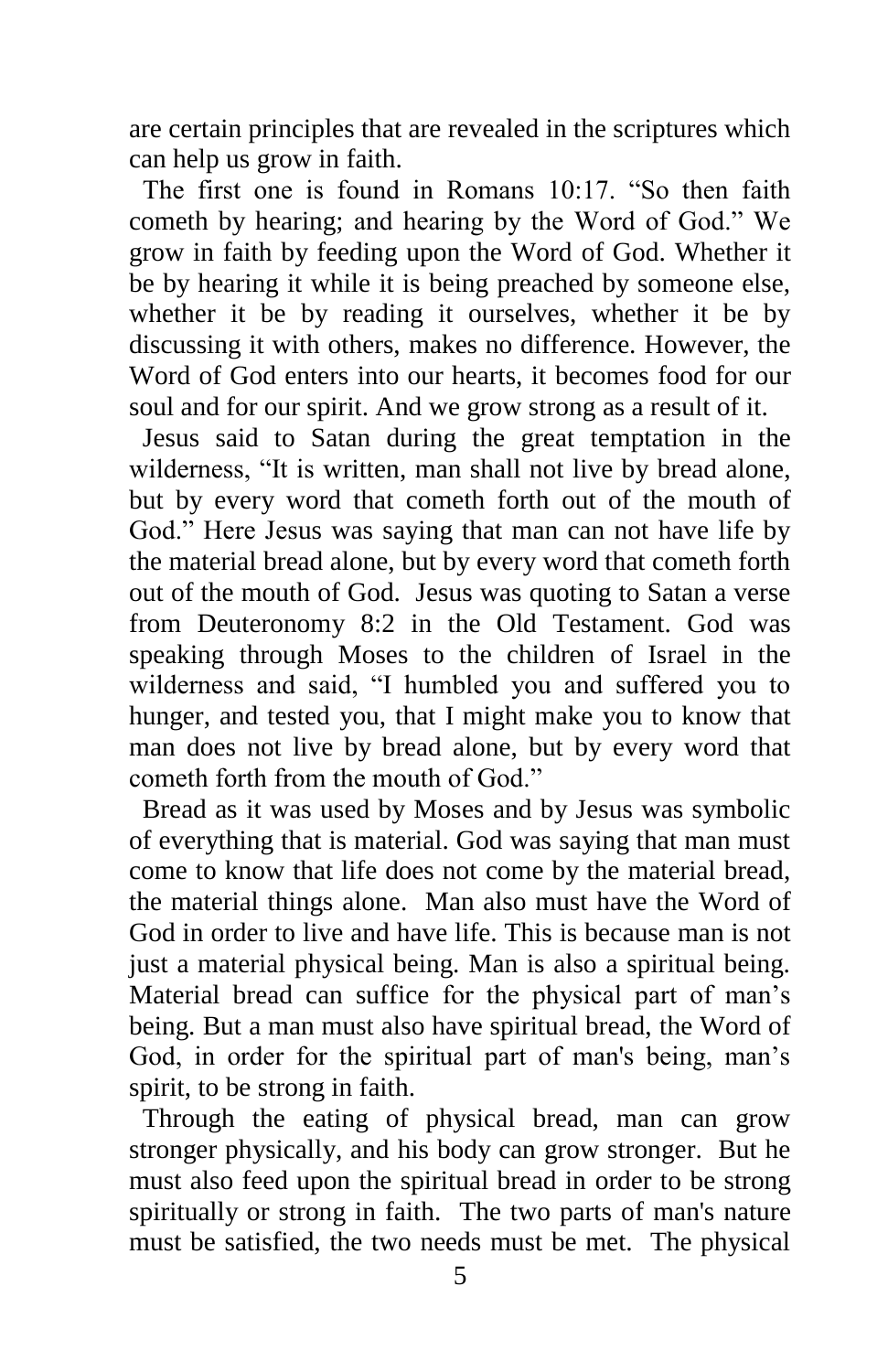are certain principles that are revealed in the scriptures which can help us grow in faith.

 The first one is found in Romans 10:17. "So then faith cometh by hearing; and hearing by the Word of God." We grow in faith by feeding upon the Word of God. Whether it be by hearing it while it is being preached by someone else, whether it be by reading it ourselves, whether it be by discussing it with others, makes no difference. However, the Word of God enters into our hearts, it becomes food for our soul and for our spirit. And we grow strong as a result of it.

 Jesus said to Satan during the great temptation in the wilderness, "It is written, man shall not live by bread alone, but by every word that cometh forth out of the mouth of God." Here Jesus was saying that man can not have life by the material bread alone, but by every word that cometh forth out of the mouth of God. Jesus was quoting to Satan a verse from Deuteronomy 8:2 in the Old Testament. God was speaking through Moses to the children of Israel in the wilderness and said, "I humbled you and suffered you to hunger, and tested you, that I might make you to know that man does not live by bread alone, but by every word that cometh forth from the mouth of God."

 Bread as it was used by Moses and by Jesus was symbolic of everything that is material. God was saying that man must come to know that life does not come by the material bread, the material things alone. Man also must have the Word of God in order to live and have life. This is because man is not just a material physical being. Man is also a spiritual being. Material bread can suffice for the physical part of man's being. But a man must also have spiritual bread, the Word of God, in order for the spiritual part of man's being, man's spirit, to be strong in faith.

 Through the eating of physical bread, man can grow stronger physically, and his body can grow stronger. But he must also feed upon the spiritual bread in order to be strong spiritually or strong in faith. The two parts of man's nature must be satisfied, the two needs must be met. The physical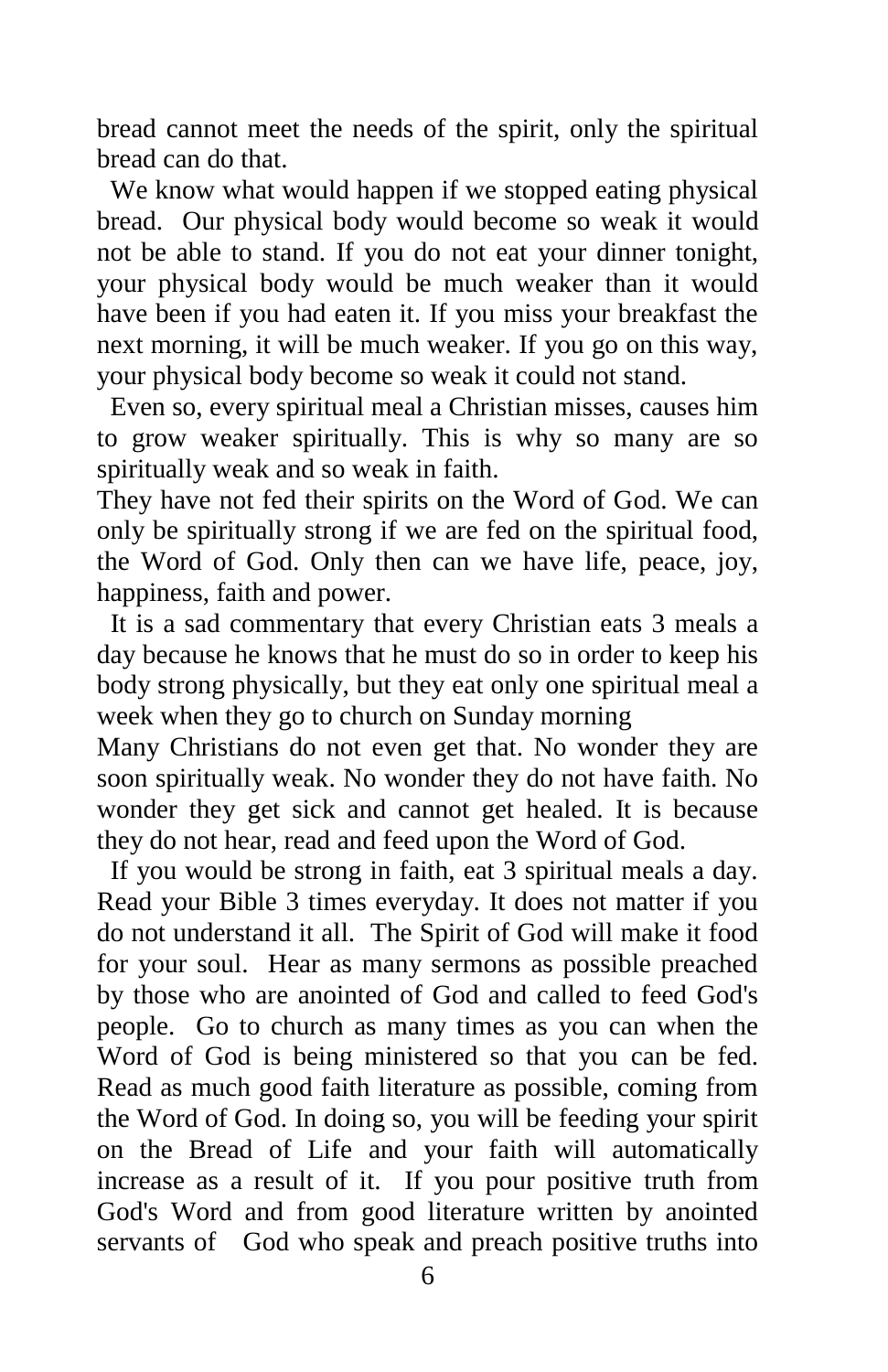bread cannot meet the needs of the spirit, only the spiritual bread can do that.

 We know what would happen if we stopped eating physical bread. Our physical body would become so weak it would not be able to stand. If you do not eat your dinner tonight, your physical body would be much weaker than it would have been if you had eaten it. If you miss your breakfast the next morning, it will be much weaker. If you go on this way, your physical body become so weak it could not stand.

 Even so, every spiritual meal a Christian misses, causes him to grow weaker spiritually. This is why so many are so spiritually weak and so weak in faith.

They have not fed their spirits on the Word of God. We can only be spiritually strong if we are fed on the spiritual food, the Word of God. Only then can we have life, peace, joy, happiness, faith and power.

 It is a sad commentary that every Christian eats 3 meals a day because he knows that he must do so in order to keep his body strong physically, but they eat only one spiritual meal a week when they go to church on Sunday morning

Many Christians do not even get that. No wonder they are soon spiritually weak. No wonder they do not have faith. No wonder they get sick and cannot get healed. It is because they do not hear, read and feed upon the Word of God.

 If you would be strong in faith, eat 3 spiritual meals a day. Read your Bible 3 times everyday. It does not matter if you do not understand it all. The Spirit of God will make it food for your soul. Hear as many sermons as possible preached by those who are anointed of God and called to feed God's people. Go to church as many times as you can when the Word of God is being ministered so that you can be fed. Read as much good faith literature as possible, coming from the Word of God. In doing so, you will be feeding your spirit on the Bread of Life and your faith will automatically increase as a result of it. If you pour positive truth from God's Word and from good literature written by anointed servants of God who speak and preach positive truths into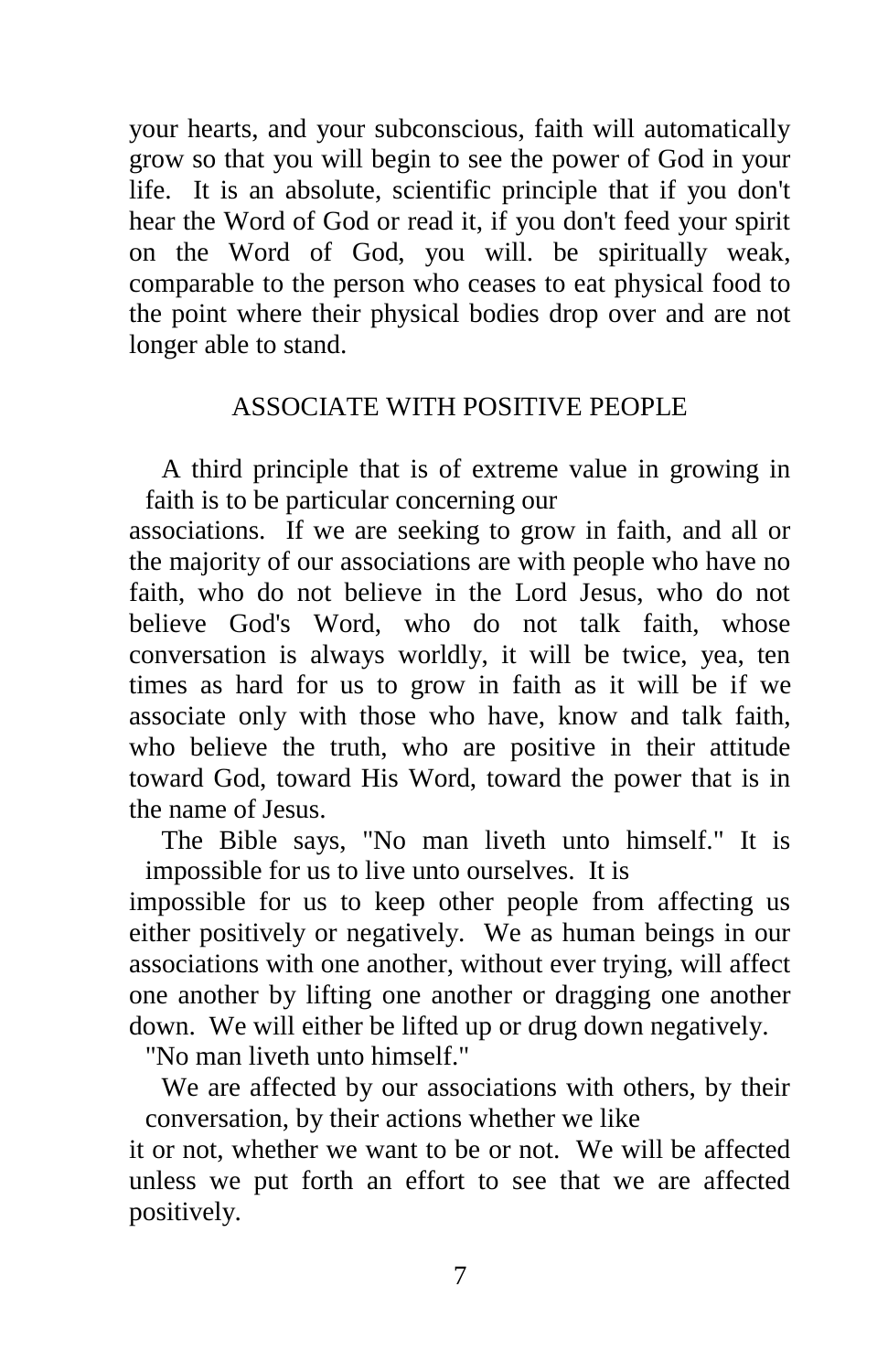your hearts, and your subconscious, faith will automatically grow so that you will begin to see the power of God in your life. It is an absolute, scientific principle that if you don't hear the Word of God or read it, if you don't feed your spirit on the Word of God, you will. be spiritually weak, comparable to the person who ceases to eat physical food to the point where their physical bodies drop over and are not longer able to stand.

### ASSOCIATE WITH POSITIVE PEOPLE

A third principle that is of extreme value in growing in faith is to be particular concerning our

associations. If we are seeking to grow in faith, and all or the majority of our associations are with people who have no faith, who do not believe in the Lord Jesus, who do not believe God's Word, who do not talk faith, whose conversation is always worldly, it will be twice, yea, ten times as hard for us to grow in faith as it will be if we associate only with those who have, know and talk faith, who believe the truth, who are positive in their attitude toward God, toward His Word, toward the power that is in the name of Jesus.

The Bible says, "No man liveth unto himself." It is impossible for us to live unto ourselves. It is

impossible for us to keep other people from affecting us either positively or negatively. We as human beings in our associations with one another, without ever trying, will affect one another by lifting one another or dragging one another down. We will either be lifted up or drug down negatively.

"No man liveth unto himself."

We are affected by our associations with others, by their conversation, by their actions whether we like

it or not, whether we want to be or not. We will be affected unless we put forth an effort to see that we are affected positively.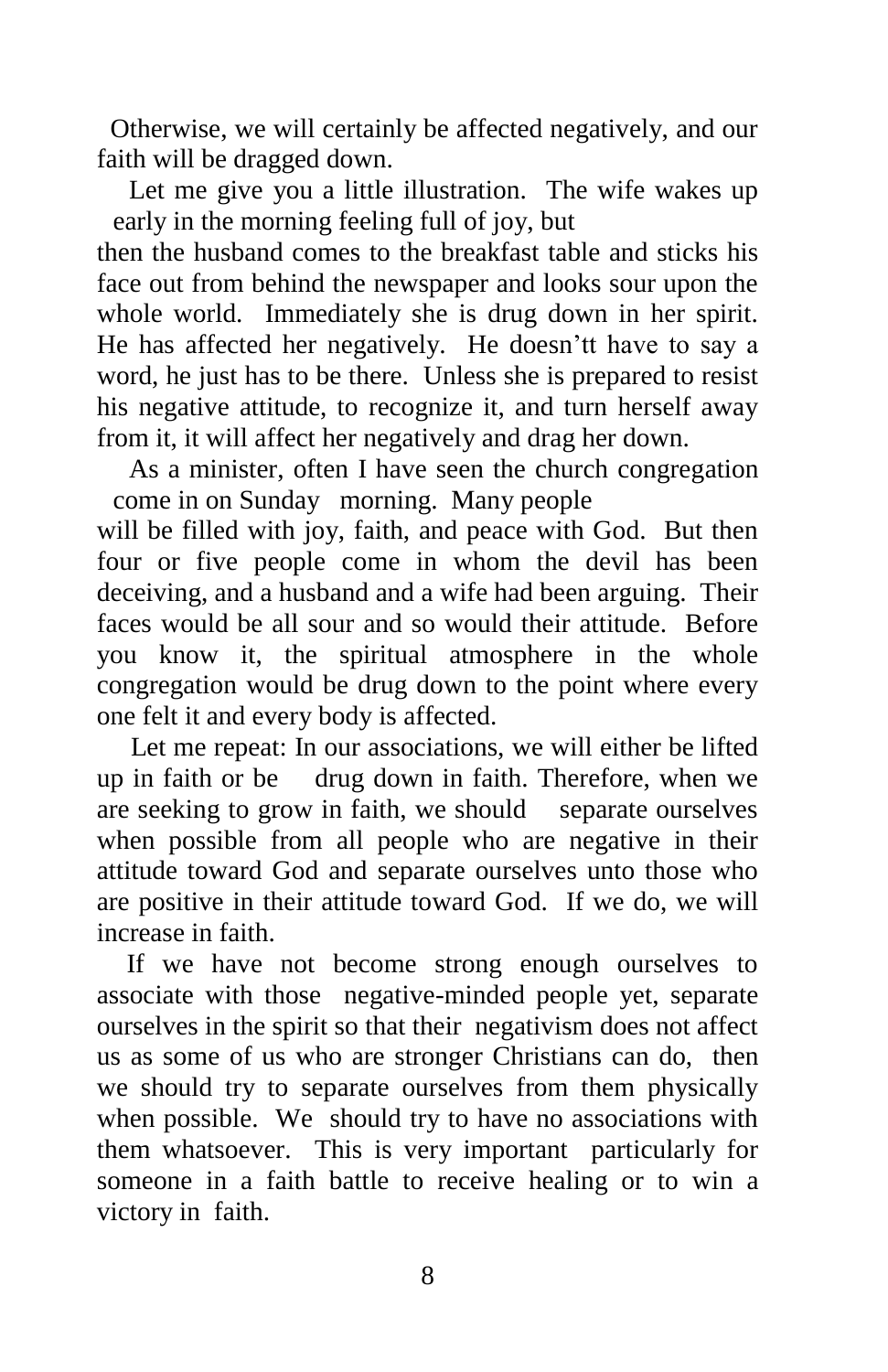Otherwise, we will certainly be affected negatively, and our faith will be dragged down.

Let me give you a little illustration. The wife wakes up early in the morning feeling full of joy, but

then the husband comes to the breakfast table and sticks his face out from behind the newspaper and looks sour upon the whole world. Immediately she is drug down in her spirit. He has affected her negatively. He doesn'tt have to say a word, he just has to be there. Unless she is prepared to resist his negative attitude, to recognize it, and turn herself away from it, it will affect her negatively and drag her down.

As a minister, often I have seen the church congregation come in on Sunday morning. Many people

will be filled with joy, faith, and peace with God. But then four or five people come in whom the devil has been deceiving, and a husband and a wife had been arguing. Their faces would be all sour and so would their attitude. Before you know it, the spiritual atmosphere in the whole congregation would be drug down to the point where every one felt it and every body is affected.

 Let me repeat: In our associations, we will either be lifted up in faith or be drug down in faith. Therefore, when we are seeking to grow in faith, we should separate ourselves when possible from all people who are negative in their attitude toward God and separate ourselves unto those who are positive in their attitude toward God. If we do, we will increase in faith.

 If we have not become strong enough ourselves to associate with those negative-minded people yet, separate ourselves in the spirit so that their negativism does not affect us as some of us who are stronger Christians can do, then we should try to separate ourselves from them physically when possible. We should try to have no associations with them whatsoever. This is very important particularly for someone in a faith battle to receive healing or to win a victory in faith.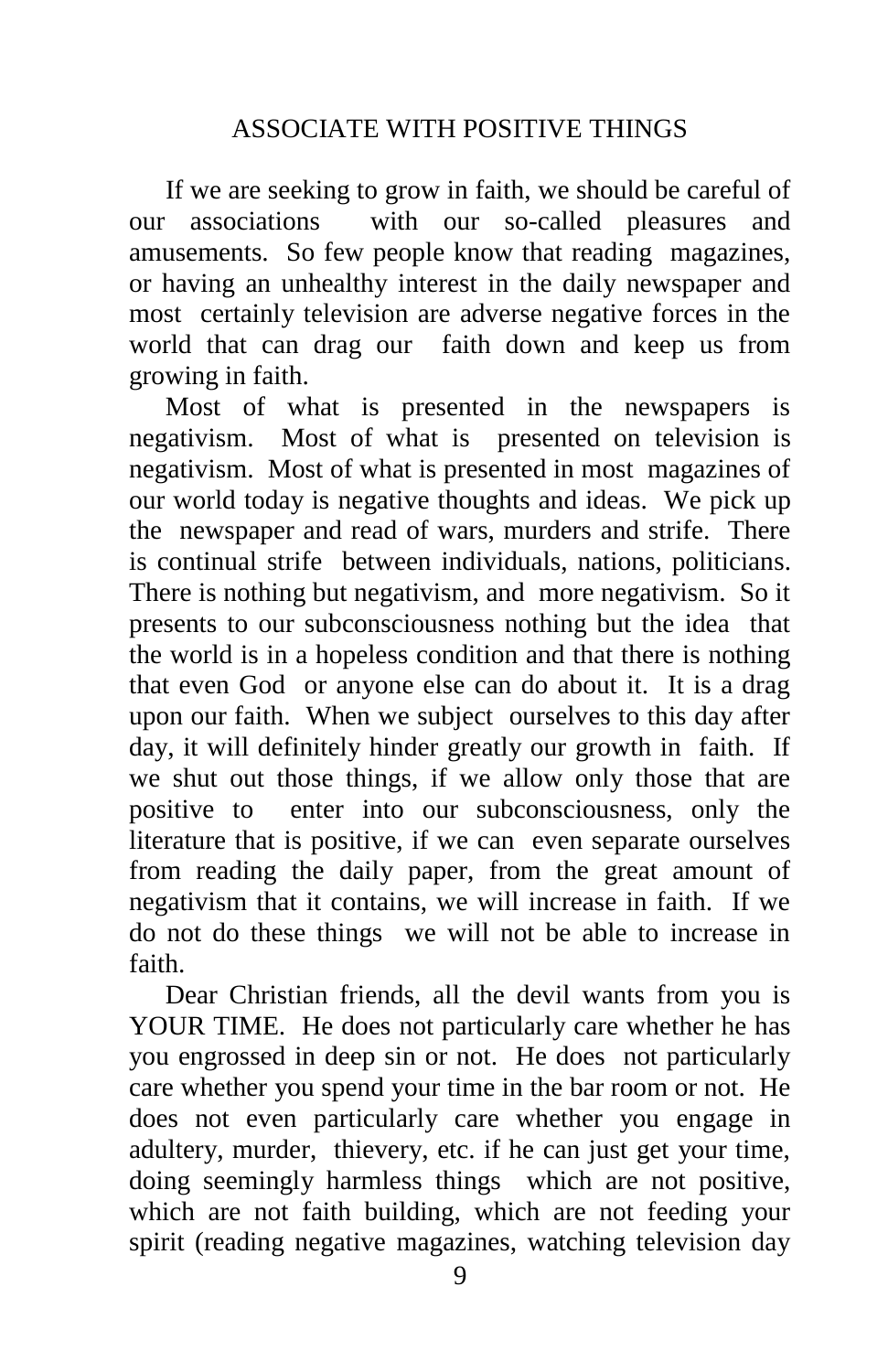If we are seeking to grow in faith, we should be careful of our associations with our so-called pleasures and amusements. So few people know that reading magazines, or having an unhealthy interest in the daily newspaper and most certainly television are adverse negative forces in the world that can drag our faith down and keep us from growing in faith.

 Most of what is presented in the newspapers is negativism. Most of what is presented on television is negativism. Most of what is presented in most magazines of our world today is negative thoughts and ideas. We pick up the newspaper and read of wars, murders and strife. There is continual strife between individuals, nations, politicians. There is nothing but negativism, and more negativism. So it presents to our subconsciousness nothing but the idea that the world is in a hopeless condition and that there is nothing that even God or anyone else can do about it. It is a drag upon our faith. When we subject ourselves to this day after day, it will definitely hinder greatly our growth in faith. If we shut out those things, if we allow only those that are positive to enter into our subconsciousness, only the literature that is positive, if we can even separate ourselves from reading the daily paper, from the great amount of negativism that it contains, we will increase in faith. If we do not do these things we will not be able to increase in faith.

 Dear Christian friends, all the devil wants from you is YOUR TIME. He does not particularly care whether he has you engrossed in deep sin or not. He does not particularly care whether you spend your time in the bar room or not. He does not even particularly care whether you engage in adultery, murder, thievery, etc. if he can just get your time, doing seemingly harmless things which are not positive, which are not faith building, which are not feeding your spirit (reading negative magazines, watching television day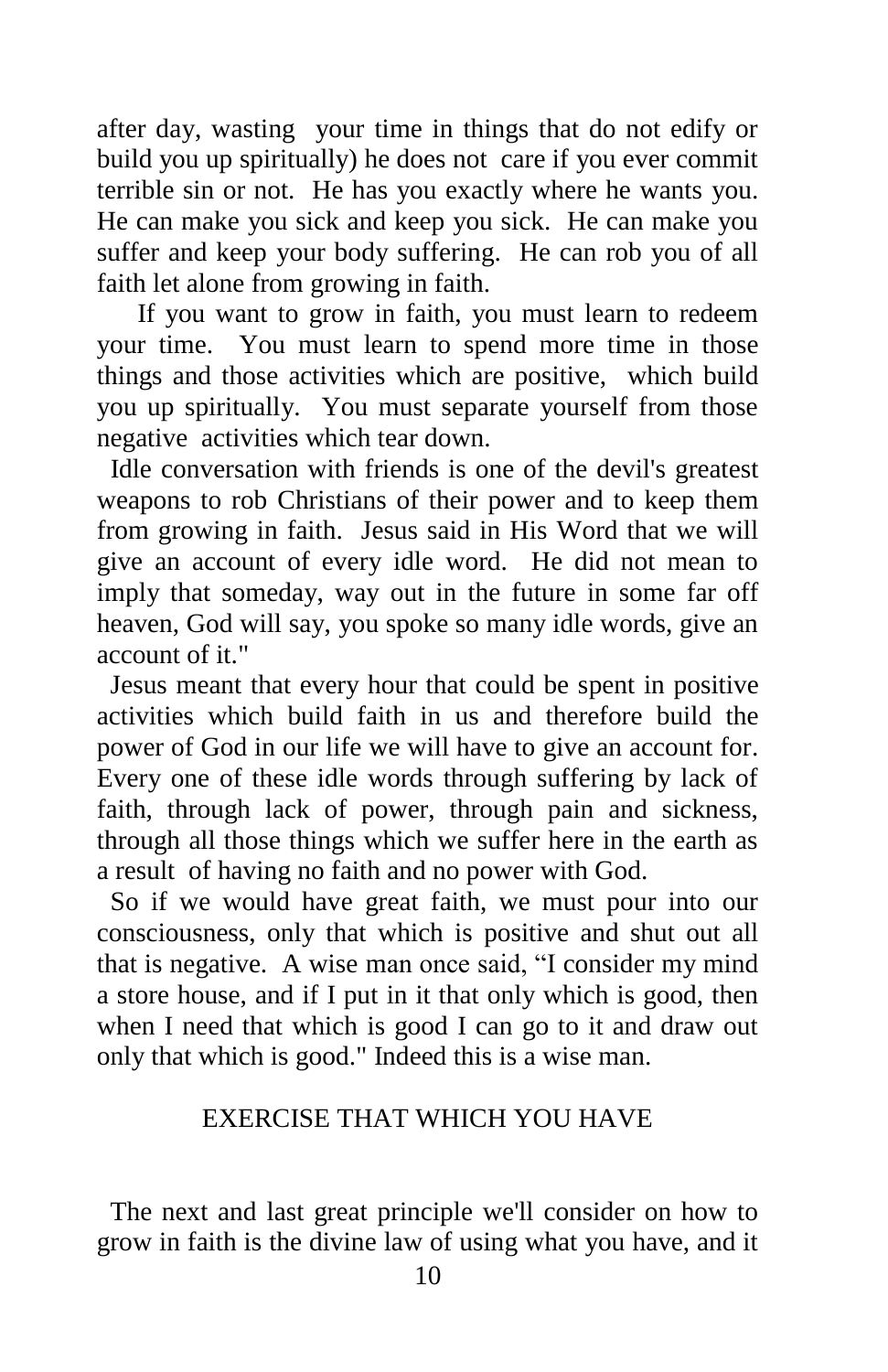after day, wasting your time in things that do not edify or build you up spiritually) he does not care if you ever commit terrible sin or not. He has you exactly where he wants you. He can make you sick and keep you sick. He can make you suffer and keep your body suffering. He can rob you of all faith let alone from growing in faith.

 If you want to grow in faith, you must learn to redeem your time. You must learn to spend more time in those things and those activities which are positive, which build you up spiritually. You must separate yourself from those negative activities which tear down.

 Idle conversation with friends is one of the devil's greatest weapons to rob Christians of their power and to keep them from growing in faith. Jesus said in His Word that we will give an account of every idle word. He did not mean to imply that someday, way out in the future in some far off heaven, God will say, you spoke so many idle words, give an account of it."

 Jesus meant that every hour that could be spent in positive activities which build faith in us and therefore build the power of God in our life we will have to give an account for. Every one of these idle words through suffering by lack of faith, through lack of power, through pain and sickness, through all those things which we suffer here in the earth as a result of having no faith and no power with God.

 So if we would have great faith, we must pour into our consciousness, only that which is positive and shut out all that is negative. A wise man once said, "I consider my mind a store house, and if I put in it that only which is good, then when I need that which is good I can go to it and draw out only that which is good." Indeed this is a wise man.

### EXERCISE THAT WHICH YOU HAVE

 The next and last great principle we'll consider on how to grow in faith is the divine law of using what you have, and it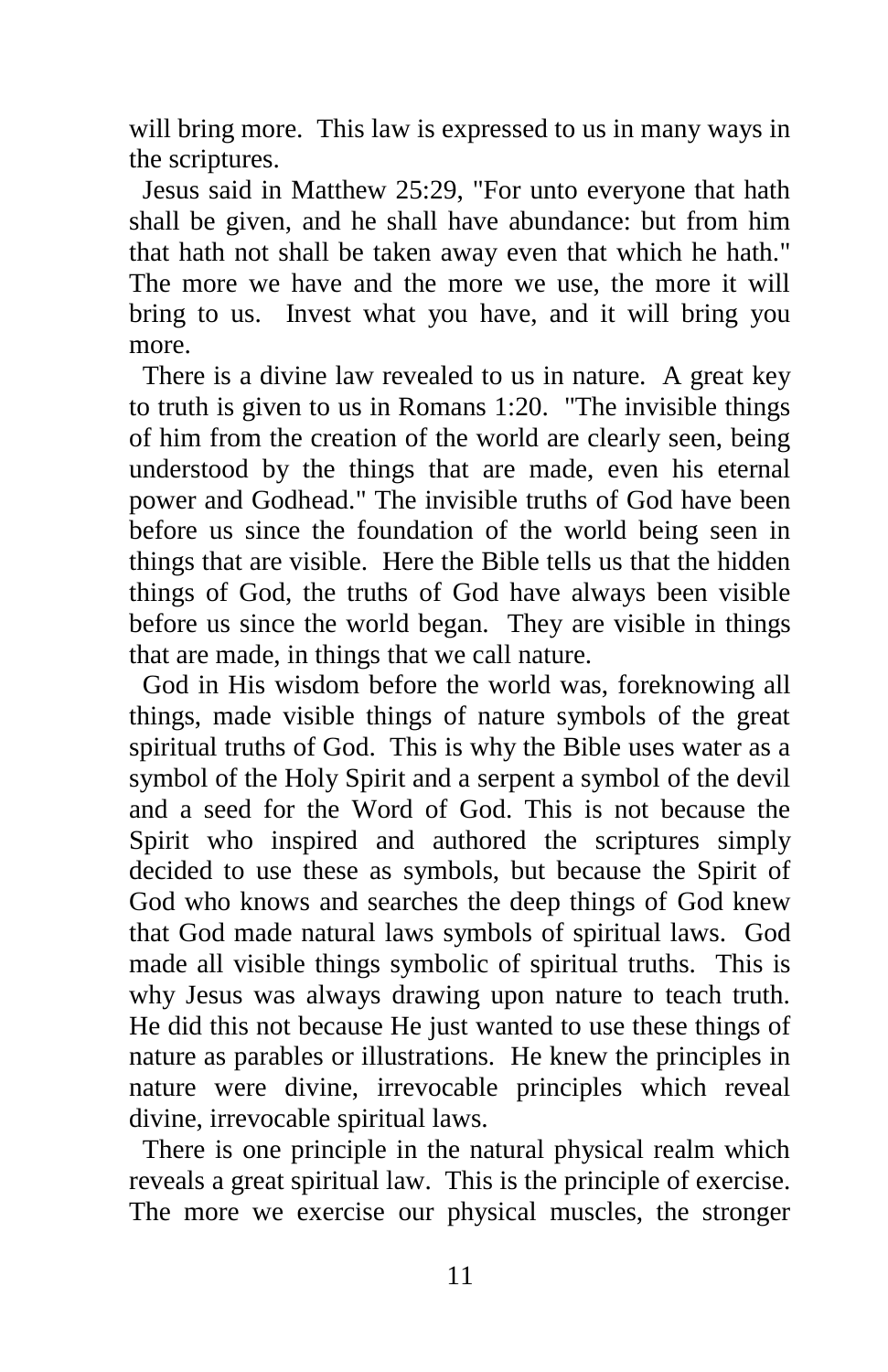will bring more. This law is expressed to us in many ways in the scriptures.

 Jesus said in Matthew 25:29, "For unto everyone that hath shall be given, and he shall have abundance: but from him that hath not shall be taken away even that which he hath." The more we have and the more we use, the more it will bring to us. Invest what you have, and it will bring you more.

 There is a divine law revealed to us in nature. A great key to truth is given to us in Romans 1:20. "The invisible things of him from the creation of the world are clearly seen, being understood by the things that are made, even his eternal power and Godhead." The invisible truths of God have been before us since the foundation of the world being seen in things that are visible. Here the Bible tells us that the hidden things of God, the truths of God have always been visible before us since the world began. They are visible in things that are made, in things that we call nature.

 God in His wisdom before the world was, foreknowing all things, made visible things of nature symbols of the great spiritual truths of God. This is why the Bible uses water as a symbol of the Holy Spirit and a serpent a symbol of the devil and a seed for the Word of God. This is not because the Spirit who inspired and authored the scriptures simply decided to use these as symbols, but because the Spirit of God who knows and searches the deep things of God knew that God made natural laws symbols of spiritual laws. God made all visible things symbolic of spiritual truths. This is why Jesus was always drawing upon nature to teach truth. He did this not because He just wanted to use these things of nature as parables or illustrations. He knew the principles in nature were divine, irrevocable principles which reveal divine, irrevocable spiritual laws.

 There is one principle in the natural physical realm which reveals a great spiritual law. This is the principle of exercise. The more we exercise our physical muscles, the stronger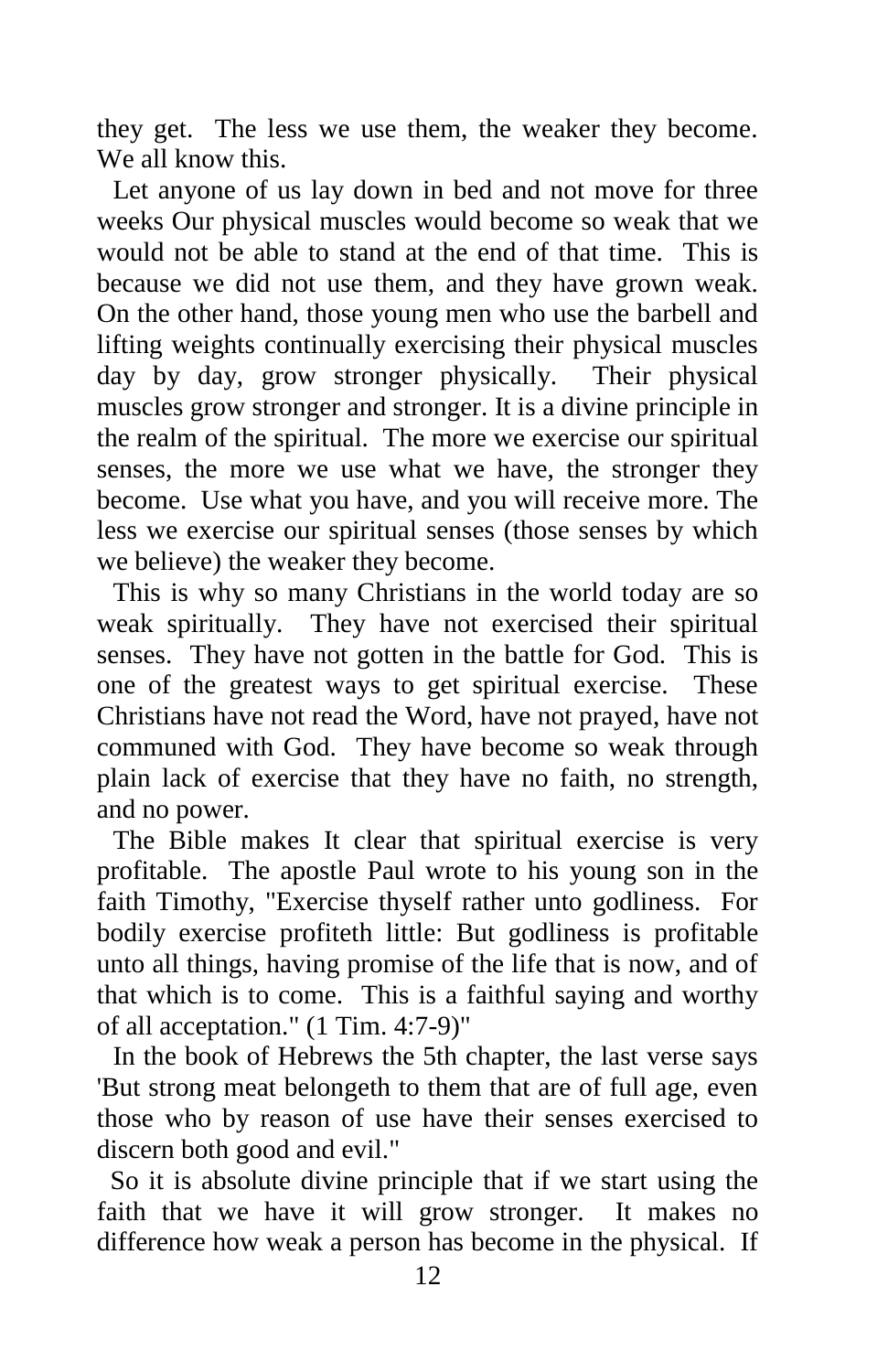they get. The less we use them, the weaker they become. We all know this.

Let anyone of us lay down in bed and not move for three weeks Our physical muscles would become so weak that we would not be able to stand at the end of that time. This is because we did not use them, and they have grown weak. On the other hand, those young men who use the barbell and lifting weights continually exercising their physical muscles day by day, grow stronger physically. Their physical muscles grow stronger and stronger. It is a divine principle in the realm of the spiritual. The more we exercise our spiritual senses, the more we use what we have, the stronger they become. Use what you have, and you will receive more. The less we exercise our spiritual senses (those senses by which we believe) the weaker they become.

This is why so many Christians in the world today are so weak spiritually. They have not exercised their spiritual senses. They have not gotten in the battle for God. This is one of the greatest ways to get spiritual exercise. These Christians have not read the Word, have not prayed, have not communed with God. They have become so weak through plain lack of exercise that they have no faith, no strength, and no power.

The Bible makes It clear that spiritual exercise is very profitable. The apostle Paul wrote to his young son in the faith Timothy, "Exercise thyself rather unto godliness. For bodily exercise profiteth little: But godliness is profitable unto all things, having promise of the life that is now, and of that which is to come. This is a faithful saying and worthy of all acceptation." (1 Tim. 4:7-9)"

In the book of Hebrews the 5th chapter, the last verse says 'But strong meat belongeth to them that are of full age, even those who by reason of use have their senses exercised to discern both good and evil."

 So it is absolute divine principle that if we start using the faith that we have it will grow stronger. It makes no difference how weak a person has become in the physical. If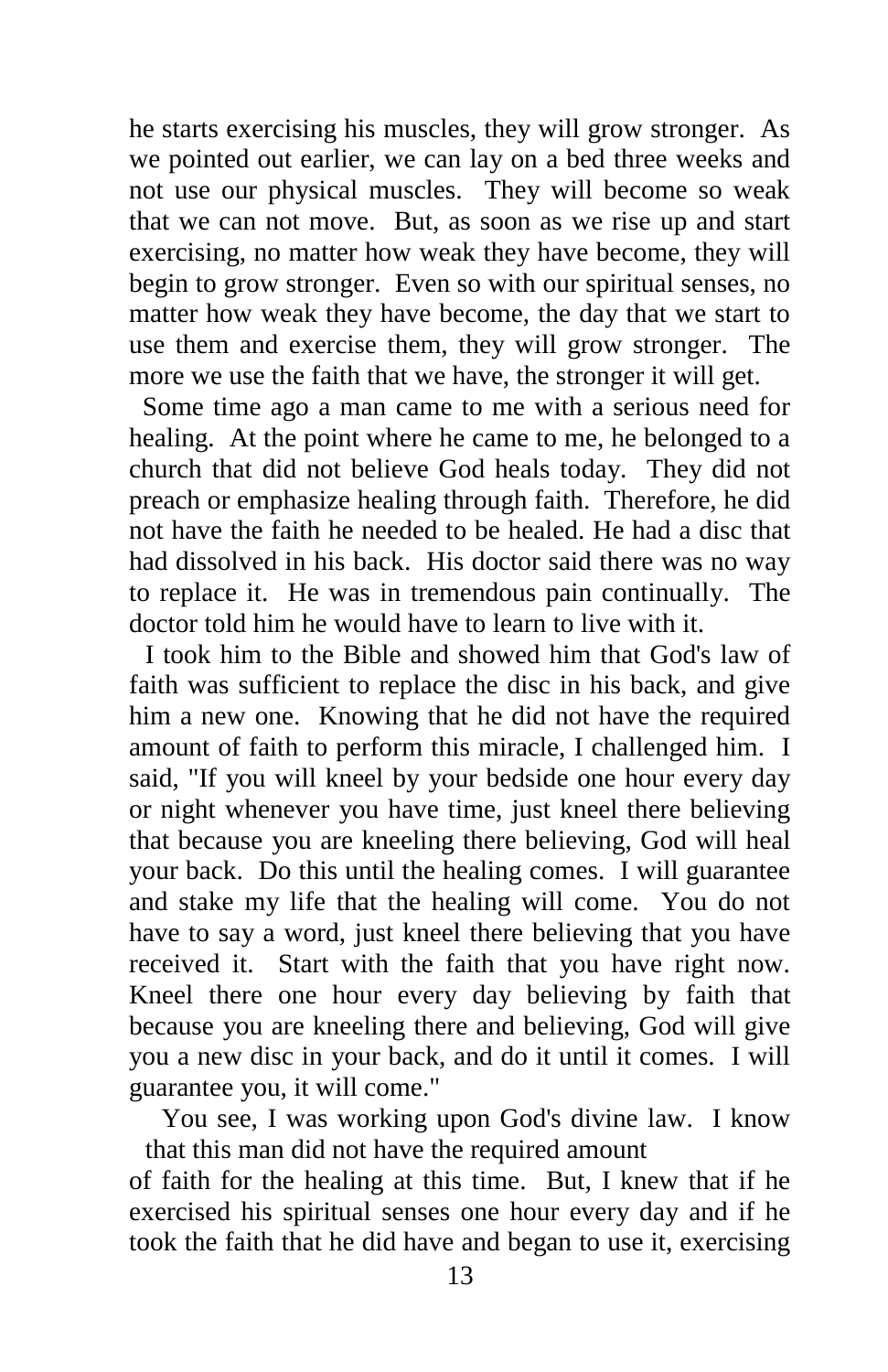he starts exercising his muscles, they will grow stronger. As we pointed out earlier, we can lay on a bed three weeks and not use our physical muscles. They will become so weak that we can not move. But, as soon as we rise up and start exercising, no matter how weak they have become, they will begin to grow stronger. Even so with our spiritual senses, no matter how weak they have become, the day that we start to use them and exercise them, they will grow stronger. The more we use the faith that we have, the stronger it will get.

 Some time ago a man came to me with a serious need for healing. At the point where he came to me, he belonged to a church that did not believe God heals today. They did not preach or emphasize healing through faith. Therefore, he did not have the faith he needed to be healed. He had a disc that had dissolved in his back. His doctor said there was no way to replace it. He was in tremendous pain continually. The doctor told him he would have to learn to live with it.

I took him to the Bible and showed him that God's law of faith was sufficient to replace the disc in his back, and give him a new one. Knowing that he did not have the required amount of faith to perform this miracle, I challenged him. I said, "If you will kneel by your bedside one hour every day or night whenever you have time, just kneel there believing that because you are kneeling there believing, God will heal your back. Do this until the healing comes. I will guarantee and stake my life that the healing will come. You do not have to say a word, just kneel there believing that you have received it. Start with the faith that you have right now. Kneel there one hour every day believing by faith that because you are kneeling there and believing, God will give you a new disc in your back, and do it until it comes. I will guarantee you, it will come."

You see, I was working upon God's divine law. I know that this man did not have the required amount

of faith for the healing at this time. But, I knew that if he exercised his spiritual senses one hour every day and if he took the faith that he did have and began to use it, exercising